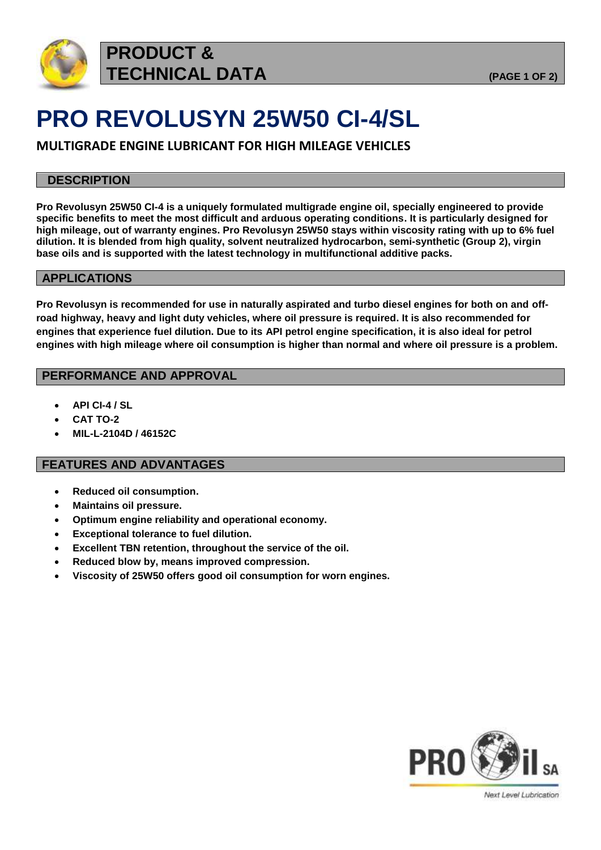

# **PRO REVOLUSYN 25W50 CI-4/SL**

**MULTIGRADE ENGINE LUBRICANT FOR HIGH MILEAGE VEHICLES**

### **DESCRIPTION**

**Pro Revolusyn 25W50 CI-4 is a uniquely formulated multigrade engine oil, specially engineered to provide specific benefits to meet the most difficult and arduous operating conditions. It is particularly designed for high mileage, out of warranty engines. Pro Revolusyn 25W50 stays within viscosity rating with up to 6% fuel dilution. It is blended from high quality, solvent neutralized hydrocarbon, semi-synthetic (Group 2), virgin base oils and is supported with the latest technology in multifunctional additive packs.**

### **APPLICATIONS**

**Pro Revolusyn is recommended for use in naturally aspirated and turbo diesel engines for both on and offroad highway, heavy and light duty vehicles, where oil pressure is required. It is also recommended for engines that experience fuel dilution. Due to its API petrol engine specification, it is also ideal for petrol engines with high mileage where oil consumption is higher than normal and where oil pressure is a problem.**

### **PERFORMANCE AND APPROVAL**

- **API CI-4 / SL**
- **CAT TO-2**
- **MIL-L-2104D / 46152C**

### **FEATURES AND ADVANTAGES**

- **Reduced oil consumption.**
- **Maintains oil pressure.**
- **Optimum engine reliability and operational economy.**
- **Exceptional tolerance to fuel dilution.**
- **Excellent TBN retention, throughout the service of the oil.**
- **Reduced blow by, means improved compression.**
- **Viscosity of 25W50 offers good oil consumption for worn engines.**



Next Level Lubrication